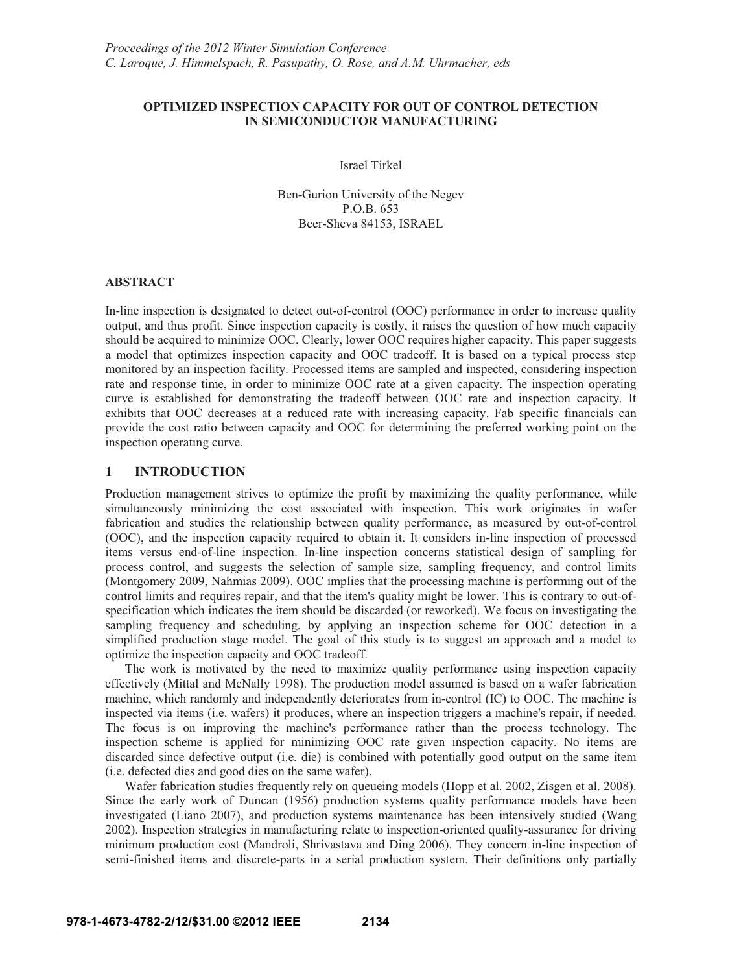# **OPTIMIZED INSPECTION CAPACITY FOR OUT OF CONTROL DETECTION IN SEMICONDUCTOR MANUFACTURING**

Israel Tirkel

Ben-Gurion University of the Negev P.O.B. 653 Beer-Sheva 84153, ISRAEL

## **ABSTRACT**

In-line inspection is designated to detect out-of-control (OOC) performance in order to increase quality output, and thus profit. Since inspection capacity is costly, it raises the question of how much capacity should be acquired to minimize OOC. Clearly, lower OOC requires higher capacity. This paper suggests a model that optimizes inspection capacity and OOC tradeoff. It is based on a typical process step monitored by an inspection facility. Processed items are sampled and inspected, considering inspection rate and response time, in order to minimize OOC rate at a given capacity. The inspection operating curve is established for demonstrating the tradeoff between OOC rate and inspection capacity. It exhibits that OOC decreases at a reduced rate with increasing capacity. Fab specific financials can provide the cost ratio between capacity and OOC for determining the preferred working point on the inspection operating curve.

#### **1 INTRODUCTION**

Production management strives to optimize the profit by maximizing the quality performance, while simultaneously minimizing the cost associated with inspection. This work originates in wafer fabrication and studies the relationship between quality performance, as measured by out-of-control (OOC), and the inspection capacity required to obtain it. It considers in-line inspection of processed items versus end-of-line inspection. In-line inspection concerns statistical design of sampling for process control, and suggests the selection of sample size, sampling frequency, and control limits (Montgomery 2009, Nahmias 2009). OOC implies that the processing machine is performing out of the control limits and requires repair, and that the item's quality might be lower. This is contrary to out-ofspecification which indicates the item should be discarded (or reworked). We focus on investigating the sampling frequency and scheduling, by applying an inspection scheme for OOC detection in a simplified production stage model. The goal of this study is to suggest an approach and a model to optimize the inspection capacity and OOC tradeoff.

The work is motivated by the need to maximize quality performance using inspection capacity effectively (Mittal and McNally 1998). The production model assumed is based on a wafer fabrication machine, which randomly and independently deteriorates from in-control (IC) to OOC. The machine is inspected via items (i.e. wafers) it produces, where an inspection triggers a machine's repair, if needed. The focus is on improving the machine's performance rather than the process technology. The inspection scheme is applied for minimizing OOC rate given inspection capacity. No items are discarded since defective output (i.e. die) is combined with potentially good output on the same item (i.e. defected dies and good dies on the same wafer).

Wafer fabrication studies frequently rely on queueing models (Hopp et al. 2002, Zisgen et al. 2008). Since the early work of Duncan (1956) production systems quality performance models have been investigated (Liano 2007), and production systems maintenance has been intensively studied (Wang 2002). Inspection strategies in manufacturing relate to inspection-oriented quality-assurance for driving minimum production cost (Mandroli, Shrivastava and Ding 2006). They concern in-line inspection of semi-finished items and discrete-parts in a serial production system. Their definitions only partially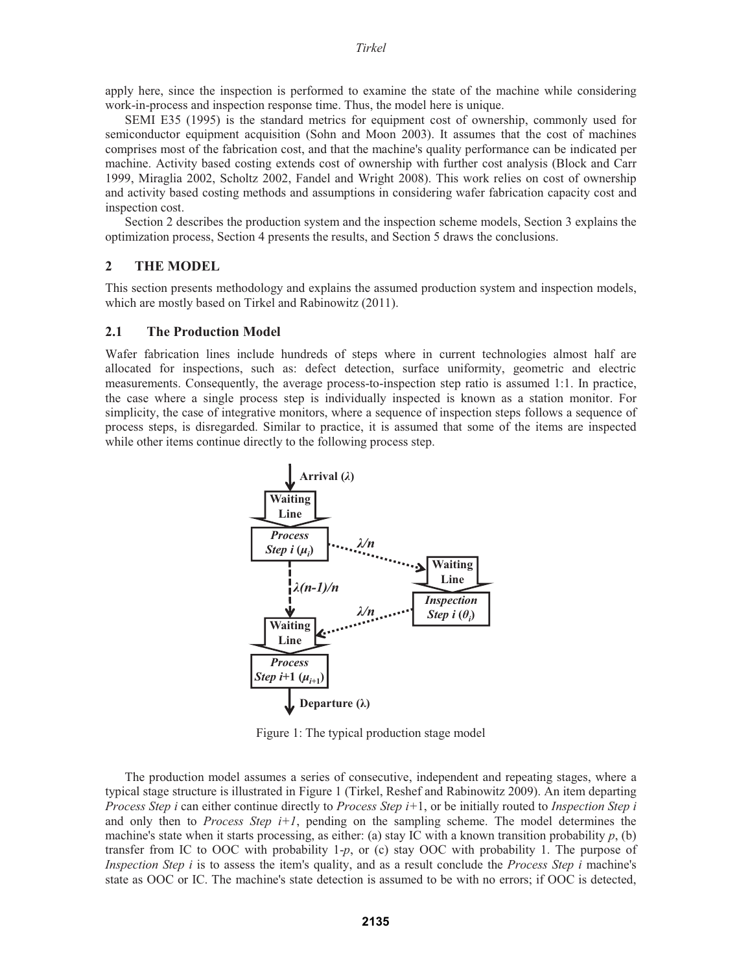*Tirkel* 

apply here, since the inspection is performed to examine the state of the machine while considering work-in-process and inspection response time. Thus, the model here is unique.

SEMI E35 (1995) is the standard metrics for equipment cost of ownership, commonly used for semiconductor equipment acquisition (Sohn and Moon 2003). It assumes that the cost of machines comprises most of the fabrication cost, and that the machine's quality performance can be indicated per machine. Activity based costing extends cost of ownership with further cost analysis (Block and Carr 1999, Miraglia 2002, Scholtz 2002, Fandel and Wright 2008). This work relies on cost of ownership and activity based costing methods and assumptions in considering wafer fabrication capacity cost and inspection cost.

Section 2 describes the production system and the inspection scheme models, Section 3 explains the optimization process, Section 4 presents the results, and Section 5 draws the conclusions.

#### **2 THE MODEL**

This section presents methodology and explains the assumed production system and inspection models, which are mostly based on Tirkel and Rabinowitz (2011).

#### **2.1 The Production Model**

Wafer fabrication lines include hundreds of steps where in current technologies almost half are allocated for inspections, such as: defect detection, surface uniformity, geometric and electric measurements. Consequently, the average process-to-inspection step ratio is assumed 1:1. In practice, the case where a single process step is individually inspected is known as a station monitor. For simplicity, the case of integrative monitors, where a sequence of inspection steps follows a sequence of process steps, is disregarded. Similar to practice, it is assumed that some of the items are inspected while other items continue directly to the following process step.



Figure 1: The typical production stage model

The production model assumes a series of consecutive, independent and repeating stages, where a typical stage structure is illustrated in Figure 1 (Tirkel, Reshef and Rabinowitz 2009). An item departing *Process Step i* can either continue directly to *Process Step i+*1, or be initially routed to *Inspection Step i* and only then to *Process Step i+1*, pending on the sampling scheme. The model determines the machine's state when it starts processing, as either: (a) stay IC with a known transition probability  $p$ , (b) transfer from IC to OOC with probability 1-*p*, or (c) stay OOC with probability 1. The purpose of *Inspection Step i* is to assess the item's quality, and as a result conclude the *Process Step i* machine's state as OOC or IC. The machine's state detection is assumed to be with no errors; if OOC is detected,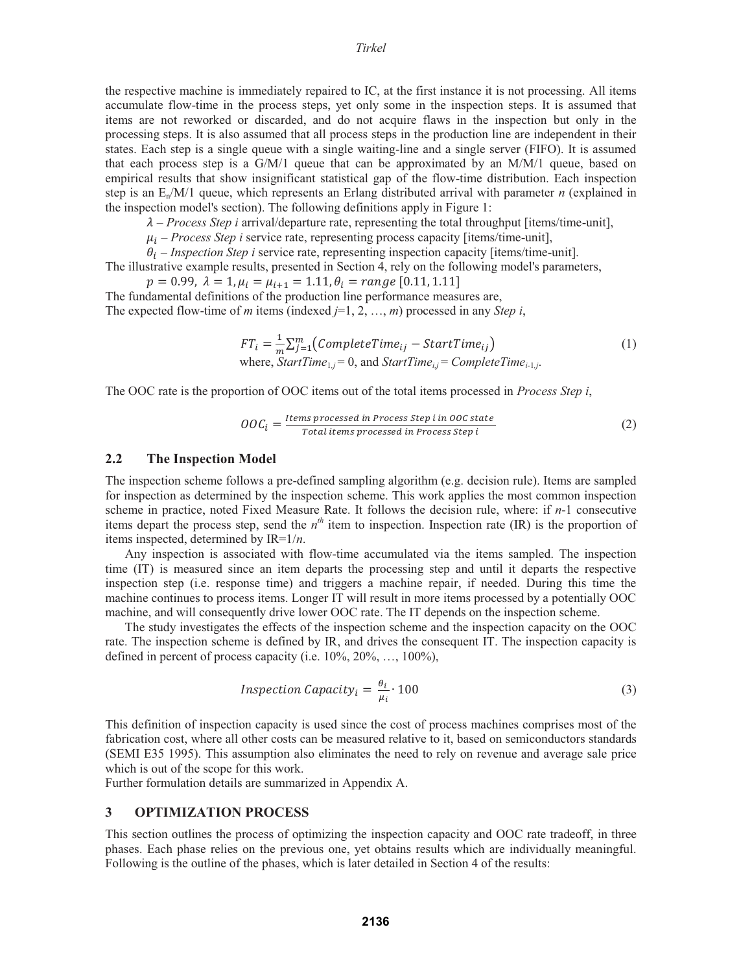the respective machine is immediately repaired to IC, at the first instance it is not processing. All items accumulate flow-time in the process steps, yet only some in the inspection steps. It is assumed that items are not reworked or discarded, and do not acquire flaws in the inspection but only in the processing steps. It is also assumed that all process steps in the production line are independent in their states. Each step is a single queue with a single waiting-line and a single server (FIFO). It is assumed that each process step is a  $G/M/1$  queue that can be approximated by an  $M/M/1$  queue, based on empirical results that show insignificant statistical gap of the flow-time distribution. Each inspection step is an En/M/1 queue, which represents an Erlang distributed arrival with parameter *n* (explained in the inspection model's section). The following definitions apply in Figure 1:

 $\lambda$  – *Process Step i* arrival/departure rate, representing the total throughput [items/time-unit],

 $\mu_i$  – *Process Step i* service rate, representing process capacity [items/time-unit],

 $\theta_i$  – *Inspection Step i* service rate, representing inspection capacity [items/time-unit].

The illustrative example results, presented in Section 4, rely on the following model's parameters,  $p = 0.99$ ,  $\lambda = 1$ ,  $\mu_i = \mu_{i+1} = 1.11$ ,  $\theta_i = range \, [0.11, 1.11]$ 

The fundamental definitions of the production line performance measures are, The expected flow-time of *m* items (indexed *j*=1, 2, …, *m*) processed in any *Step i*,

$$
FT_i = \frac{1}{m} \sum_{j=1}^{m} (CompleteTime_{ij} - StartTime_{ij})
$$
  
where,  $StartTime_{1,j} = 0$ , and  $StartTime_{1,j} = CompleteTime_{i-1,j}$ . (1)

The OOC rate is the proportion of OOC items out of the total items processed in *Process Step i*,

$$
OOCi = \frac{Items \, processed \, in \, Process \, Step \, i \, in \, OOC \, state}{Total \, items \, processed \, in \, Process \, Step \, i}
$$
 (2)

## **2.2 The Inspection Model**

The inspection scheme follows a pre-defined sampling algorithm (e.g. decision rule). Items are sampled for inspection as determined by the inspection scheme. This work applies the most common inspection scheme in practice, noted Fixed Measure Rate. It follows the decision rule, where: if *n*-1 consecutive items depart the process step, send the  $n<sup>th</sup>$  item to inspection. Inspection rate (IR) is the proportion of items inspected, determined by IR=1/*n*.

Any inspection is associated with flow-time accumulated via the items sampled. The inspection time (IT) is measured since an item departs the processing step and until it departs the respective inspection step (i.e. response time) and triggers a machine repair, if needed. During this time the machine continues to process items. Longer IT will result in more items processed by a potentially OOC machine, and will consequently drive lower OOC rate. The IT depends on the inspection scheme.

The study investigates the effects of the inspection scheme and the inspection capacity on the OOC rate. The inspection scheme is defined by IR, and drives the consequent IT. The inspection capacity is defined in percent of process capacity (i.e.  $10\%, 20\%, \ldots, 100\%$ ),

$$
Inspection Capacity_i = \frac{\theta_i}{\mu_i} \cdot 100 \tag{3}
$$

This definition of inspection capacity is used since the cost of process machines comprises most of the fabrication cost, where all other costs can be measured relative to it, based on semiconductors standards (SEMI E35 1995). This assumption also eliminates the need to rely on revenue and average sale price which is out of the scope for this work.

Further formulation details are summarized in Appendix A.

#### **3 OPTIMIZATION PROCESS**

This section outlines the process of optimizing the inspection capacity and OOC rate tradeoff, in three phases. Each phase relies on the previous one, yet obtains results which are individually meaningful. Following is the outline of the phases, which is later detailed in Section 4 of the results: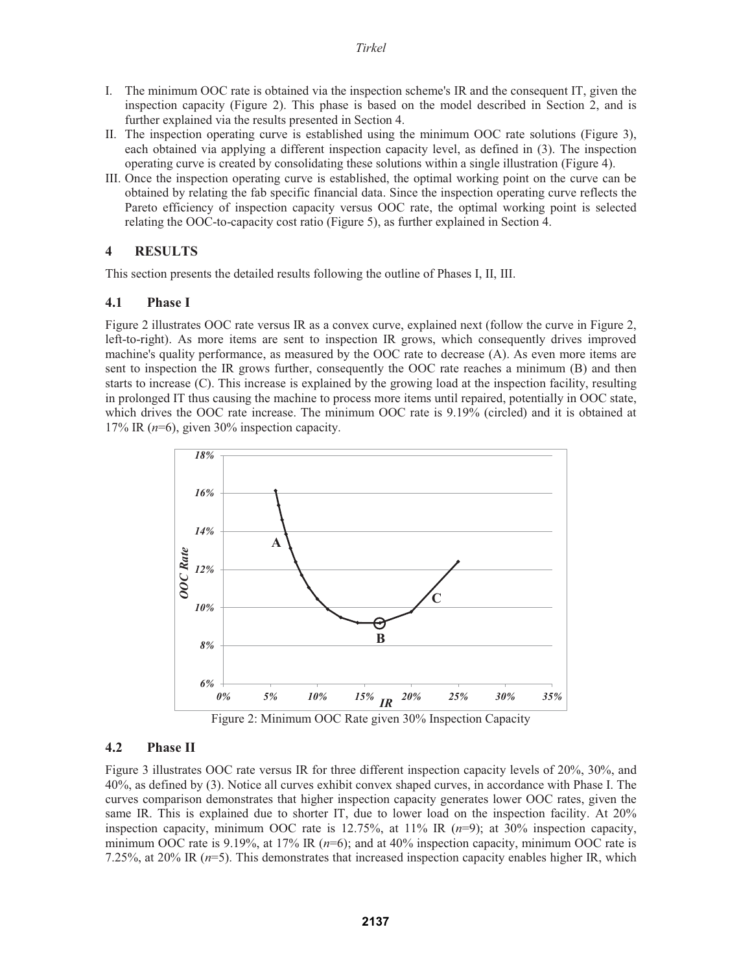- I. The minimum OOC rate is obtained via the inspection scheme's IR and the consequent IT, given the inspection capacity (Figure 2). This phase is based on the model described in Section 2, and is further explained via the results presented in Section 4.
- II. The inspection operating curve is established using the minimum OOC rate solutions (Figure 3), each obtained via applying a different inspection capacity level, as defined in (3). The inspection operating curve is created by consolidating these solutions within a single illustration (Figure 4).
- III. Once the inspection operating curve is established, the optimal working point on the curve can be obtained by relating the fab specific financial data. Since the inspection operating curve reflects the Pareto efficiency of inspection capacity versus OOC rate, the optimal working point is selected relating the OOC-to-capacity cost ratio (Figure 5), as further explained in Section 4.

# **4 RESULTS**

This section presents the detailed results following the outline of Phases I, II, III.

#### **4.1 Phase I**

Figure 2 illustrates OOC rate versus IR as a convex curve, explained next (follow the curve in Figure 2, left-to-right). As more items are sent to inspection IR grows, which consequently drives improved machine's quality performance, as measured by the OOC rate to decrease (A). As even more items are sent to inspection the IR grows further, consequently the OOC rate reaches a minimum (B) and then starts to increase (C). This increase is explained by the growing load at the inspection facility, resulting in prolonged IT thus causing the machine to process more items until repaired, potentially in OOC state, which drives the OOC rate increase. The minimum OOC rate is 9.19% (circled) and it is obtained at 17% IR (*n*=6), given 30% inspection capacity.



Figure 2: Minimum OOC Rate given 30% Inspection Capacity

#### **4.2 Phase II**

Figure 3 illustrates OOC rate versus IR for three different inspection capacity levels of 20%, 30%, and 40%, as defined by (3). Notice all curves exhibit convex shaped curves, in accordance with Phase I. The curves comparison demonstrates that higher inspection capacity generates lower OOC rates, given the same IR. This is explained due to shorter IT, due to lower load on the inspection facility. At 20% inspection capacity, minimum OOC rate is 12.75%, at 11% IR (*n*=9); at 30% inspection capacity, minimum OOC rate is 9.19%, at 17% IR ( $n=6$ ); and at 40% inspection capacity, minimum OOC rate is 7.25%, at 20% IR (*n*=5). This demonstrates that increased inspection capacity enables higher IR, which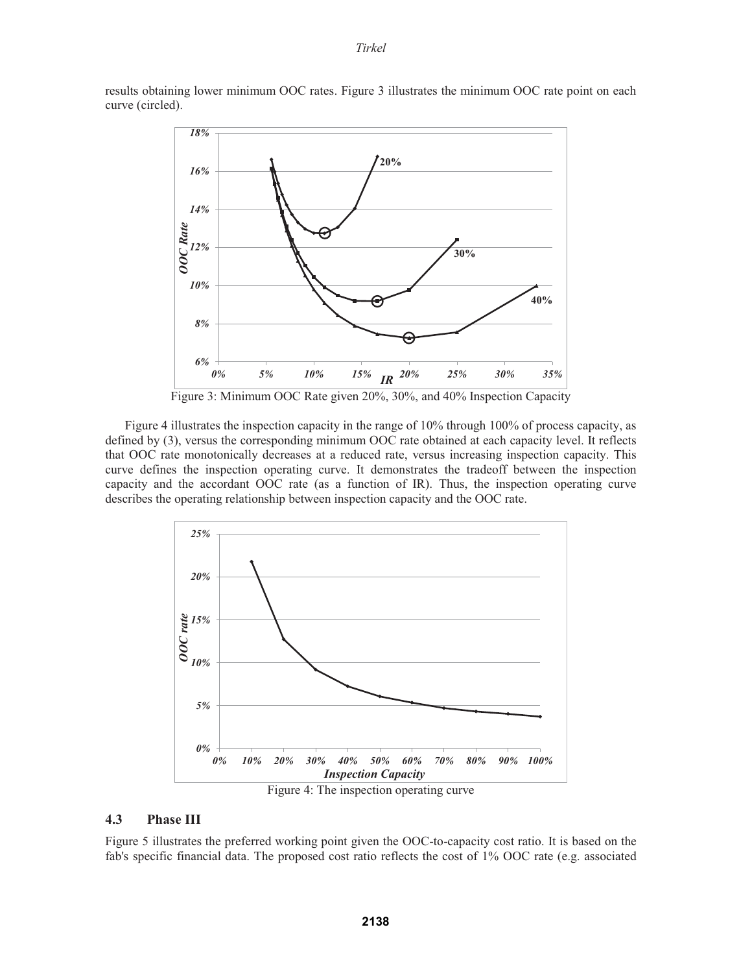results obtaining lower minimum OOC rates. Figure 3 illustrates the minimum OOC rate point on each curve (circled).



Figure 3: Minimum OOC Rate given 20%, 30%, and 40% Inspection Capacity

Figure 4 illustrates the inspection capacity in the range of 10% through 100% of process capacity, as defined by (3), versus the corresponding minimum OOC rate obtained at each capacity level. It reflects that OOC rate monotonically decreases at a reduced rate, versus increasing inspection capacity. This curve defines the inspection operating curve. It demonstrates the tradeoff between the inspection capacity and the accordant OOC rate (as a function of IR). Thus, the inspection operating curve describes the operating relationship between inspection capacity and the OOC rate.



## **4.3 Phase III**

Figure 5 illustrates the preferred working point given the OOC-to-capacity cost ratio. It is based on the fab's specific financial data. The proposed cost ratio reflects the cost of 1% OOC rate (e.g. associated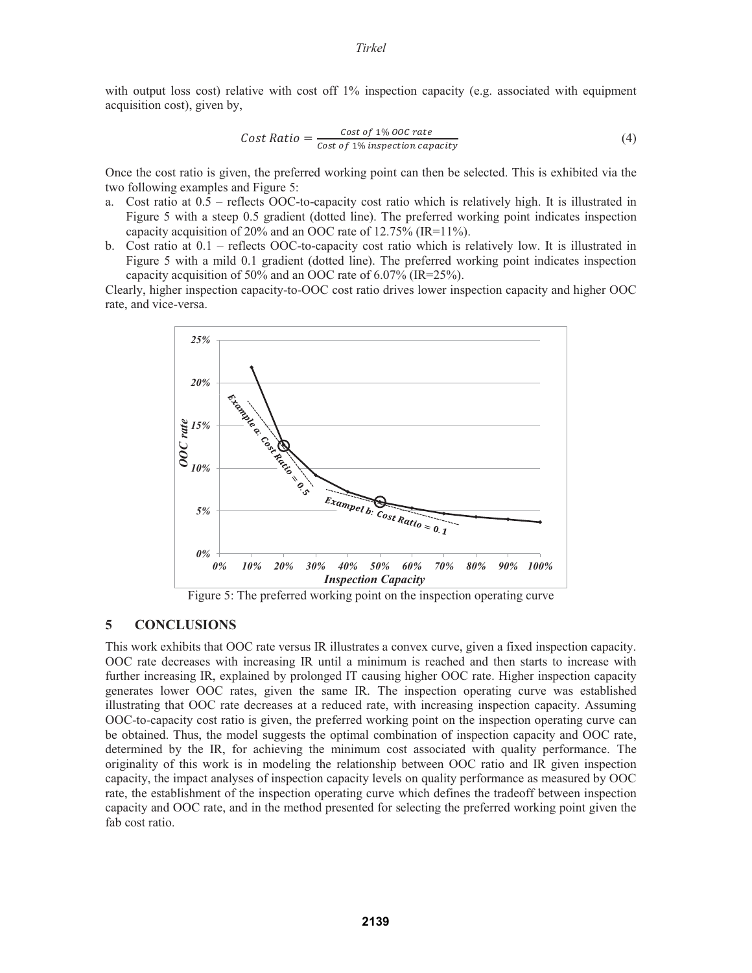with output loss cost) relative with cost off 1% inspection capacity (e.g. associated with equipment acquisition cost), given by,

Cost Ratio = 
$$
\frac{\text{Cost of 1\% OOC rate}}{\text{Cost of 1\% inspection capacity}}
$$
 (4)

Once the cost ratio is given, the preferred working point can then be selected. This is exhibited via the two following examples and Figure 5:

- a. Cost ratio at 0.5 reflects OOC-to-capacity cost ratio which is relatively high. It is illustrated in Figure 5 with a steep 0.5 gradient (dotted line). The preferred working point indicates inspection capacity acquisition of 20% and an OOC rate of 12.75% (IR=11%).
- b. Cost ratio at 0.1 reflects OOC-to-capacity cost ratio which is relatively low. It is illustrated in Figure 5 with a mild 0.1 gradient (dotted line). The preferred working point indicates inspection capacity acquisition of 50% and an OOC rate of 6.07% (IR=25%).

Clearly, higher inspection capacity-to-OOC cost ratio drives lower inspection capacity and higher OOC rate, and vice-versa.



Figure 5: The preferred working point on the inspection operating curve

# **5 CONCLUSIONS**

This work exhibits that OOC rate versus IR illustrates a convex curve, given a fixed inspection capacity. OOC rate decreases with increasing IR until a minimum is reached and then starts to increase with further increasing IR, explained by prolonged IT causing higher OOC rate. Higher inspection capacity generates lower OOC rates, given the same IR. The inspection operating curve was established illustrating that OOC rate decreases at a reduced rate, with increasing inspection capacity. Assuming OOC-to-capacity cost ratio is given, the preferred working point on the inspection operating curve can be obtained. Thus, the model suggests the optimal combination of inspection capacity and OOC rate, determined by the IR, for achieving the minimum cost associated with quality performance. The originality of this work is in modeling the relationship between OOC ratio and IR given inspection capacity, the impact analyses of inspection capacity levels on quality performance as measured by OOC rate, the establishment of the inspection operating curve which defines the tradeoff between inspection capacity and OOC rate, and in the method presented for selecting the preferred working point given the fab cost ratio.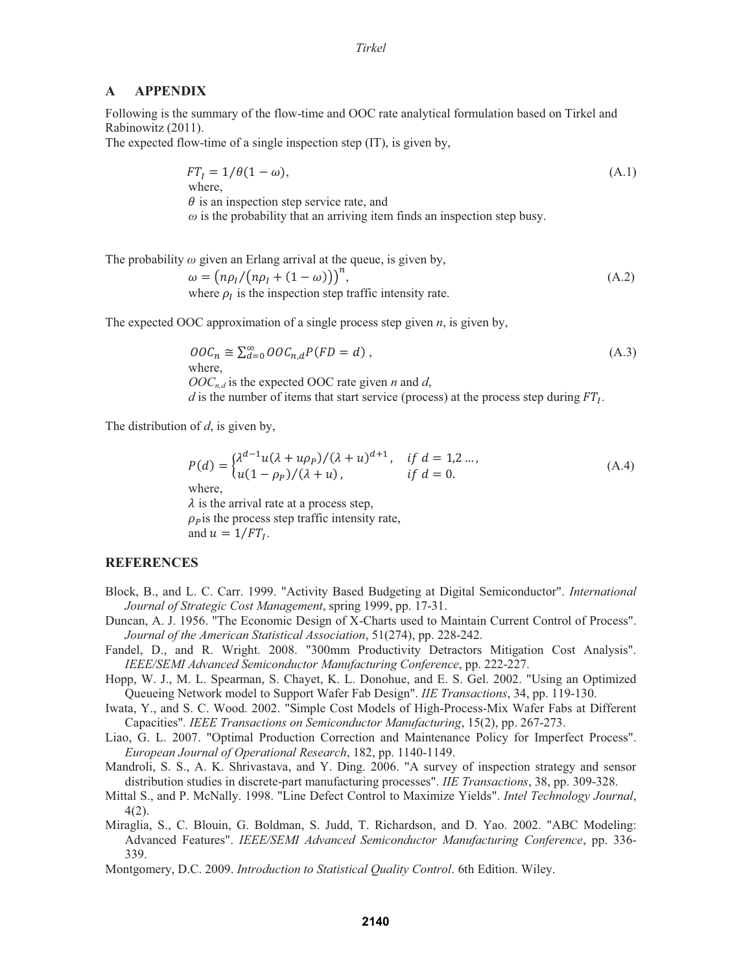#### **A APPENDIX**

Following is the summary of the flow-time and OOC rate analytical formulation based on Tirkel and Rabinowitz (2011).

The expected flow-time of a single inspection step (IT), is given by,

$$
FTI = 1/\theta(1 - \omega),
$$
  
where,  
 $\theta$  is an inspection step service rate, and  
 $\omega$  is the probability that an arriving item finds an inspection step busy.

The probability  $\omega$  given an Erlang arrival at the queue, is given by,

 $\omega = (n\rho_I/(n\rho_I + (1 - \omega)))^n$  $(A.2)$ where  $\rho_I$  is the inspection step traffic intensity rate.

The expected OOC approximation of a single process step given *n*, is given by,

$$
OOC_n \cong \sum_{d=0}^{\infty} OOC_{n,d} P(FD = d)
$$
\n(A.3)

\nwhere,

\n
$$
OOC_{n,d}
$$
\nis the expected OOC rate given *n* and *d*,

\n
$$
d
$$
\nis the number of items that start service (process) at the process step during  $FT_I$ .

The distribution of *d*, is given by,

$$
P(d) = \begin{cases} \lambda^{d-1} u(\lambda + u\rho_P) / (\lambda + u)^{d+1}, & \text{if } d = 1, 2 \dots, \\ u(1 - \rho_P) / (\lambda + u), & \text{if } d = 0. \end{cases} \tag{A.4}
$$
\nwhere,

\n
$$
\lambda
$$
\nis the arrival rate at a process step, 
$$
\rho_P
$$
\nis the process step traffic intensity rate, and 
$$
u = 1 / FT_I.
$$

#### **REFERENCES**

- Block, B., and L. C. Carr. 1999. "Activity Based Budgeting at Digital Semiconductor". *International Journal of Strategic Cost Management*, spring 1999, pp. 17-31.
- Duncan, A. J. 1956. "The Economic Design of X-Charts used to Maintain Current Control of Process". *Journal of the American Statistical Association*, 51(274), pp. 228-242.
- Fandel, D., and R. Wright. 2008. "300mm Productivity Detractors Mitigation Cost Analysis". *IEEE/SEMI Advanced Semiconductor Manufacturing Conference*, pp. 222-227.
- Hopp, W. J., M. L. Spearman, S. Chayet, K. L. Donohue, and E. S. Gel. 2002. "Using an Optimized Queueing Network model to Support Wafer Fab Design". *IIE Transactions*, 34, pp. 119-130.
- Iwata, Y., and S. C. Wood. 2002. "Simple Cost Models of High-Process-Mix Wafer Fabs at Different Capacities"*. IEEE Transactions on Semiconductor Manufacturing*, 15(2), pp. 267-273.
- Liao, G. L. 2007. "Optimal Production Correction and Maintenance Policy for Imperfect Process". *European Journal of Operational Research*, 182, pp. 1140-1149.
- Mandroli, S. S., A. K. Shrivastava, and Y. Ding. 2006. "A survey of inspection strategy and sensor distribution studies in discrete-part manufacturing processes". *IIE Transactions*, 38, pp. 309-328.
- Mittal S., and P. McNally. 1998. "Line Defect Control to Maximize Yields". *Intel Technology Journal*, 4(2).
- Miraglia, S., C. Blouin, G. Boldman, S. Judd, T. Richardson, and D. Yao. 2002. "ABC Modeling: Advanced Features". *IEEE/SEMI Advanced Semiconductor Manufacturing Conference*, pp. 336- 339.
- Montgomery, D.C. 2009. *Introduction to Statistical Quality Control*. 6th Edition. Wiley.